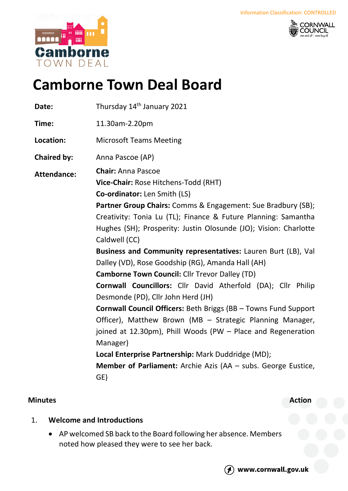



# **Camborne Town Deal Board**

| Date:              | Thursday 14 <sup>th</sup> January 2021                                                                                                                                                                                                                                                                                                                                                                                                                                                                                                                                                                                                                                                                                                               |
|--------------------|------------------------------------------------------------------------------------------------------------------------------------------------------------------------------------------------------------------------------------------------------------------------------------------------------------------------------------------------------------------------------------------------------------------------------------------------------------------------------------------------------------------------------------------------------------------------------------------------------------------------------------------------------------------------------------------------------------------------------------------------------|
| Time:              | 11.30am-2.20pm                                                                                                                                                                                                                                                                                                                                                                                                                                                                                                                                                                                                                                                                                                                                       |
| Location:          | <b>Microsoft Teams Meeting</b>                                                                                                                                                                                                                                                                                                                                                                                                                                                                                                                                                                                                                                                                                                                       |
| <b>Chaired by:</b> | Anna Pascoe (AP)                                                                                                                                                                                                                                                                                                                                                                                                                                                                                                                                                                                                                                                                                                                                     |
| <b>Attendance:</b> | <b>Chair: Anna Pascoe</b><br>Vice-Chair: Rose Hitchens-Todd (RHT)<br>Co-ordinator: Len Smith (LS)<br>Partner Group Chairs: Comms & Engagement: Sue Bradbury (SB);<br>Creativity: Tonia Lu (TL); Finance & Future Planning: Samantha<br>Hughes (SH); Prosperity: Justin Olosunde (JO); Vision: Charlotte<br>Caldwell (CC)<br>Business and Community representatives: Lauren Burt (LB), Val<br>Dalley (VD), Rose Goodship (RG), Amanda Hall (AH)<br><b>Camborne Town Council: Cllr Trevor Dalley (TD)</b><br>Cornwall Councillors: Cllr David Atherfold (DA); Cllr Philip<br>Desmonde (PD), Cllr John Herd (JH)<br><b>Cornwall Council Officers: Beth Briggs (BB - Towns Fund Support</b><br>Officer), Matthew Brown (MB - Strategic Planning Manager, |
|                    | joined at 12.30pm), Phill Woods (PW - Place and Regeneration<br>Manager)<br>Local Enterprise Partnership: Mark Duddridge (MD);<br>Member of Parliament: Archie Azis (AA - subs. George Eustice,<br>GE)                                                                                                                                                                                                                                                                                                                                                                                                                                                                                                                                               |

# **Minutes Action**

# 1. **Welcome and Introductions**

• AP welcomed SB back to the Board following her absence. Members noted how pleased they were to see her back.



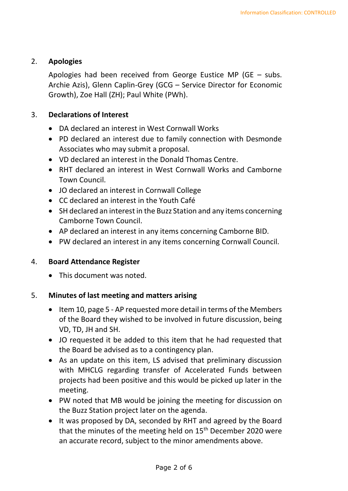# 2. **Apologies**

Apologies had been received from George Eustice MP (GE – subs. Archie Azis), Glenn Caplin-Grey (GCG – Service Director for Economic Growth), Zoe Hall (ZH); Paul White (PWh).

# 3. **Declarations of Interest**

- DA declared an interest in West Cornwall Works
- PD declared an interest due to family connection with Desmonde Associates who may submit a proposal.
- VD declared an interest in the Donald Thomas Centre.
- RHT declared an interest in West Cornwall Works and Camborne Town Council.
- JO declared an interest in Cornwall College
- CC declared an interest in the Youth Café
- SH declared an interest in the Buzz Station and any items concerning Camborne Town Council.
- AP declared an interest in any items concerning Camborne BID.
- PW declared an interest in any items concerning Cornwall Council.

# 4. **Board Attendance Register**

• This document was noted.

# 5. **Minutes of last meeting and matters arising**

- Item 10, page 5 AP requested more detail in terms of the Members of the Board they wished to be involved in future discussion, being VD, TD, JH and SH.
- JO requested it be added to this item that he had requested that the Board be advised as to a contingency plan.
- As an update on this item, LS advised that preliminary discussion with MHCLG regarding transfer of Accelerated Funds between projects had been positive and this would be picked up later in the meeting.
- PW noted that MB would be joining the meeting for discussion on the Buzz Station project later on the agenda.
- It was proposed by DA, seconded by RHT and agreed by the Board that the minutes of the meeting held on 15<sup>th</sup> December 2020 were an accurate record, subject to the minor amendments above.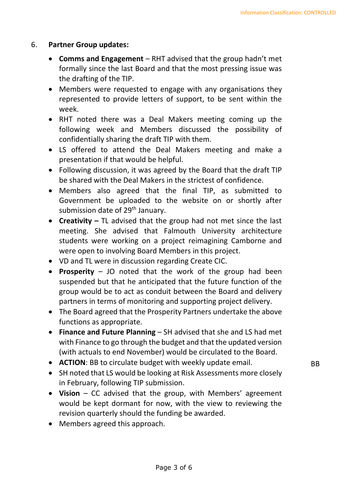#### 6. **Partner Group updates:**

- **Comms and Engagement** RHT advised that the group hadn't met formally since the last Board and that the most pressing issue was the drafting of the TIP.
- Members were requested to engage with any organisations they represented to provide letters of support, to be sent within the week.
- RHT noted there was a Deal Makers meeting coming up the following week and Members discussed the possibility of confidentially sharing the draft TIP with them.
- LS offered to attend the Deal Makers meeting and make a presentation if that would be helpful.
- Following discussion, it was agreed by the Board that the draft TIP be shared with the Deal Makers in the strictest of confidence.
- Members also agreed that the final TIP, as submitted to Government be uploaded to the website on or shortly after submission date of 29<sup>th</sup> January.
- **Creativity –** TL advised that the group had not met since the last meeting. She advised that Falmouth University architecture students were working on a project reimagining Camborne and were open to involving Board Members in this project.
- VD and TL were in discussion regarding Create CIC.
- **Prosperity** JO noted that the work of the group had been suspended but that he anticipated that the future function of the group would be to act as conduit between the Board and delivery partners in terms of monitoring and supporting project delivery.
- The Board agreed that the Prosperity Partners undertake the above functions as appropriate.
- **Finance and Future Planning** SH advised that she and LS had met with Finance to go through the budget and that the updated version (with actuals to end November) would be circulated to the Board.
- **ACTION**: BB to circulate budget with weekly update email.
- SH noted that LS would be looking at Risk Assessments more closely in February, following TIP submission.
- **Vision** CC advised that the group, with Members' agreement would be kept dormant for now, with the view to reviewing the revision quarterly should the funding be awarded.
- Members agreed this approach.

**BB**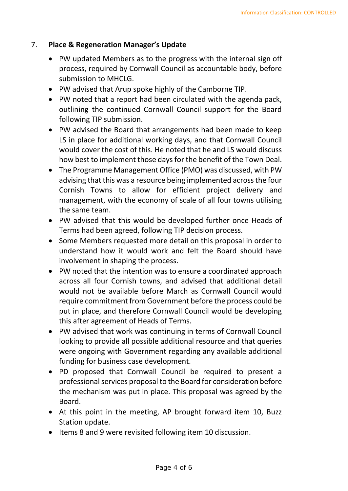## 7. **Place & Regeneration Manager's Update**

- PW updated Members as to the progress with the internal sign off process, required by Cornwall Council as accountable body, before submission to MHCLG.
- PW advised that Arup spoke highly of the Camborne TIP.
- PW noted that a report had been circulated with the agenda pack, outlining the continued Cornwall Council support for the Board following TIP submission.
- PW advised the Board that arrangements had been made to keep LS in place for additional working days, and that Cornwall Council would cover the cost of this. He noted that he and LS would discuss how best to implement those days for the benefit of the Town Deal.
- The Programme Management Office (PMO) was discussed, with PW advising that this was a resource being implemented across the four Cornish Towns to allow for efficient project delivery and management, with the economy of scale of all four towns utilising the same team.
- PW advised that this would be developed further once Heads of Terms had been agreed, following TIP decision process.
- Some Members requested more detail on this proposal in order to understand how it would work and felt the Board should have involvement in shaping the process.
- PW noted that the intention was to ensure a coordinated approach across all four Cornish towns, and advised that additional detail would not be available before March as Cornwall Council would require commitment from Government before the process could be put in place, and therefore Cornwall Council would be developing this after agreement of Heads of Terms.
- PW advised that work was continuing in terms of Cornwall Council looking to provide all possible additional resource and that queries were ongoing with Government regarding any available additional funding for business case development.
- PD proposed that Cornwall Council be required to present a professional services proposal to the Board for consideration before the mechanism was put in place. This proposal was agreed by the Board.
- At this point in the meeting, AP brought forward item 10, Buzz Station update.
- Items 8 and 9 were revisited following item 10 discussion.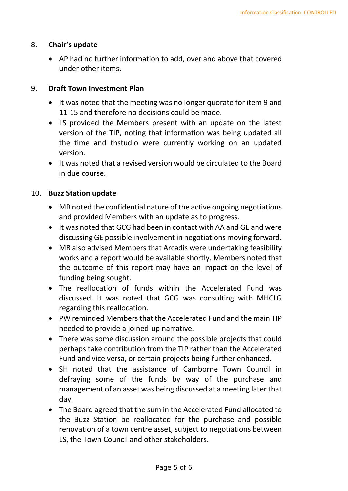#### 8. **Chair's update**

• AP had no further information to add, over and above that covered under other items.

#### 9. **Draft Town Investment Plan**

- It was noted that the meeting was no longer quorate for item 9 and 11-15 and therefore no decisions could be made.
- LS provided the Members present with an update on the latest version of the TIP, noting that information was being updated all the time and thstudio were currently working on an updated version.
- It was noted that a revised version would be circulated to the Board in due course.

#### 10. **Buzz Station update**

- MB noted the confidential nature of the active ongoing negotiations and provided Members with an update as to progress.
- It was noted that GCG had been in contact with AA and GE and were discussing GE possible involvement in negotiations moving forward.
- MB also advised Members that Arcadis were undertaking feasibility works and a report would be available shortly. Members noted that the outcome of this report may have an impact on the level of funding being sought.
- The reallocation of funds within the Accelerated Fund was discussed. It was noted that GCG was consulting with MHCLG regarding this reallocation.
- PW reminded Members that the Accelerated Fund and the main TIP needed to provide a joined-up narrative.
- There was some discussion around the possible projects that could perhaps take contribution from the TIP rather than the Accelerated Fund and vice versa, or certain projects being further enhanced.
- SH noted that the assistance of Camborne Town Council in defraying some of the funds by way of the purchase and management of an asset was being discussed at a meeting later that day.
- The Board agreed that the sum in the Accelerated Fund allocated to the Buzz Station be reallocated for the purchase and possible renovation of a town centre asset, subject to negotiations between LS, the Town Council and other stakeholders.